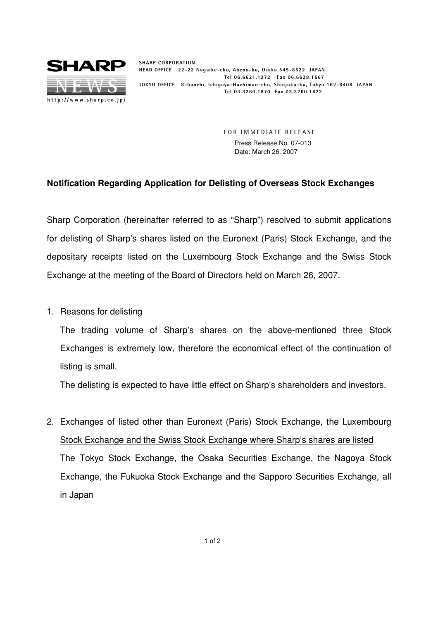

**SHARP CORPORATION HEAD OFFICE 22-22 Nagaike-cho, Abeno-ku, Osaka 545-8522 JAPAN Tel 06.6621.1272 Fax 06.6628.1667 TOKYO OFFICE 8-banchi, Ichigaya-Hachiman-cho, Shinjuku-ku, Tokyo 162-8408 JAPAN Tel 03.3260.1870 Fax 03.3260.1822**

> **FOR IMMEDIATE RELEASE** Press Release No. 07-013 Date: March 26, 2007

## **Notification Regarding Application for Delisting of Overseas Stock Exchanges**

Sharp Corporation (hereinafter referred to as "Sharp") resolved to submit applications for delisting of Sharp's shares listed on the Euronext (Paris) Stock Exchange, and the depositary receipts listed on the Luxembourg Stock Exchange and the Swiss Stock Exchange at the meeting of the Board of Directors held on March 26, 2007.

## 1. Reasons for delisting

The trading volume of Sharp's shares on the above-mentioned three Stock Exchanges is extremely low, therefore the economical effect of the continuation of listing is small.

The delisting is expected to have little effect on Sharp's shareholders and investors.

2. Exchanges of listed other than Euronext (Paris) Stock Exchange, the Luxembourg Stock Exchange and the Swiss Stock Exchange where Sharp's shares are listed The Tokyo Stock Exchange, the Osaka Securities Exchange, the Nagoya Stock Exchange, the Fukuoka Stock Exchange and the Sapporo Securities Exchange, all in Japan